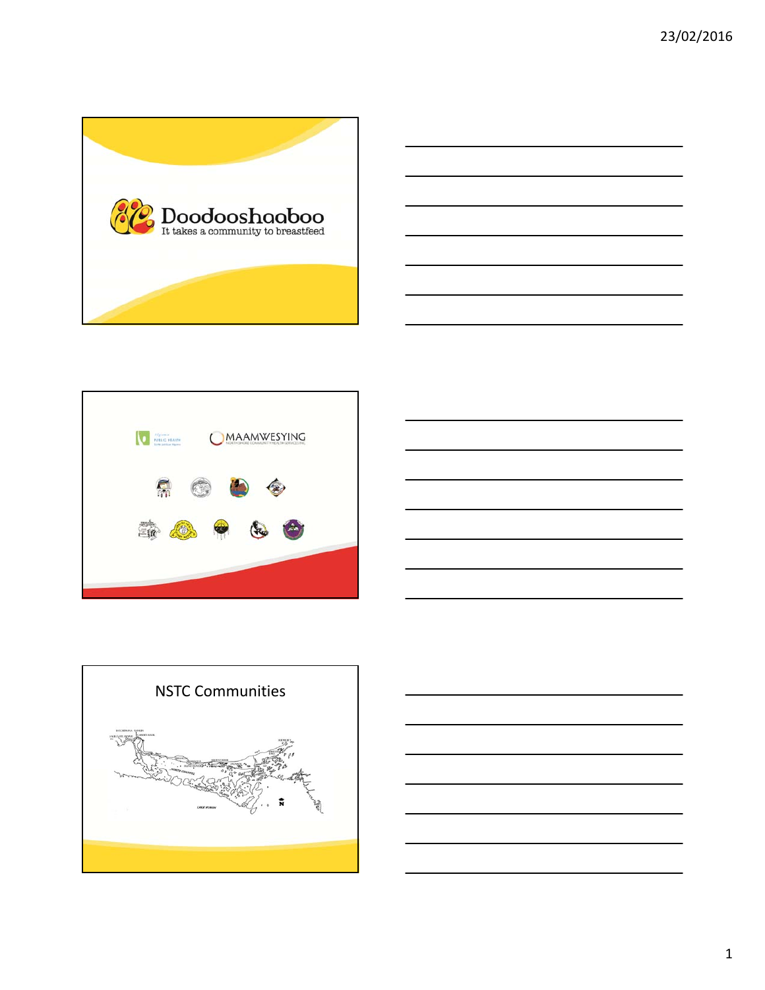





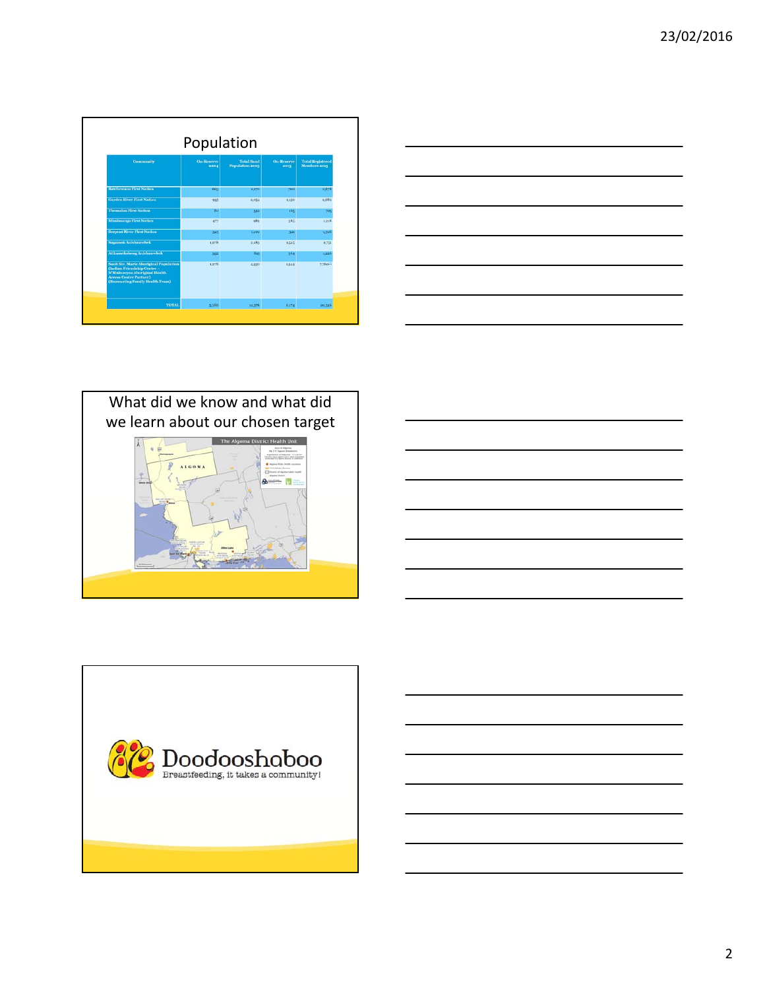| Population                                                                                                                                                                        |                           |                                      |                           |                                         |  |
|-----------------------------------------------------------------------------------------------------------------------------------------------------------------------------------|---------------------------|--------------------------------------|---------------------------|-----------------------------------------|--|
| <b>Community</b>                                                                                                                                                                  | <b>On-Reserve</b><br>2004 | <b>Total Band</b><br>Population 2003 | <b>On-Reserve</b><br>2013 | <b>Total Registered</b><br>Members 2013 |  |
| <b>Batchewana First Nation</b>                                                                                                                                                    | 663                       | 2,170                                | 700                       | 2.678                                   |  |
| <b>Garden River First Nation</b>                                                                                                                                                  | 935                       | 2,054                                | 1,150                     | 2,682                                   |  |
| <b>Thessalon First Nation</b>                                                                                                                                                     | 80                        | 542                                  | $165 -$                   | 705                                     |  |
| <b>Mississauga First Nation</b>                                                                                                                                                   | 477                       | 982                                  | 385                       | 1,218                                   |  |
| <b>Serpent River First Nation</b>                                                                                                                                                 | 325                       | 1,100                                | 321                       | 1.306                                   |  |
| <b>Sagamok Anishnawbek</b>                                                                                                                                                        | 1,278                     | 2.183                                | 1,545                     | 2,751                                   |  |
| <b>Atikameksheng Anishnawbek</b>                                                                                                                                                  | 352                       | 815                                  | 364                       | 1,226                                   |  |
| <b>Sault Ste. Marie Aboriginal Population</b><br>(Indian Friendship Centre -<br>N'Mninoeyaa Aboriginal Health<br><b>Access Centre Partner)</b><br>(Baawaating Family Health Team) | 1,278                     | 4.530                                | 1,544                     | $7.760^{11}$                            |  |
| <b>TOTAL</b>                                                                                                                                                                      | 5.388                     | 14.376                               | 6,174                     | 20.326                                  |  |

| <u> 1989 - Johann Stoff, amerikansk politiker (d. 1989)</u>                                                                                                                                                                   | $\overline{\phantom{a}}$ |
|-------------------------------------------------------------------------------------------------------------------------------------------------------------------------------------------------------------------------------|--------------------------|
|                                                                                                                                                                                                                               |                          |
|                                                                                                                                                                                                                               |                          |
|                                                                                                                                                                                                                               |                          |
|                                                                                                                                                                                                                               |                          |
|                                                                                                                                                                                                                               | ——                       |
|                                                                                                                                                                                                                               |                          |
|                                                                                                                                                                                                                               |                          |
|                                                                                                                                                                                                                               |                          |
|                                                                                                                                                                                                                               |                          |
|                                                                                                                                                                                                                               |                          |
|                                                                                                                                                                                                                               |                          |
|                                                                                                                                                                                                                               |                          |
|                                                                                                                                                                                                                               |                          |
|                                                                                                                                                                                                                               |                          |
|                                                                                                                                                                                                                               |                          |
|                                                                                                                                                                                                                               |                          |
|                                                                                                                                                                                                                               |                          |
|                                                                                                                                                                                                                               |                          |
|                                                                                                                                                                                                                               |                          |
|                                                                                                                                                                                                                               |                          |
|                                                                                                                                                                                                                               |                          |
|                                                                                                                                                                                                                               | ___                      |
|                                                                                                                                                                                                                               |                          |
|                                                                                                                                                                                                                               |                          |
|                                                                                                                                                                                                                               |                          |
|                                                                                                                                                                                                                               |                          |
|                                                                                                                                                                                                                               |                          |
|                                                                                                                                                                                                                               |                          |
|                                                                                                                                                                                                                               |                          |
|                                                                                                                                                                                                                               |                          |
|                                                                                                                                                                                                                               |                          |
|                                                                                                                                                                                                                               |                          |
| the control of the control of the control of the control of the control of the control of the control of the control of the control of the control of the control of the control of the control of the control of the control |                          |





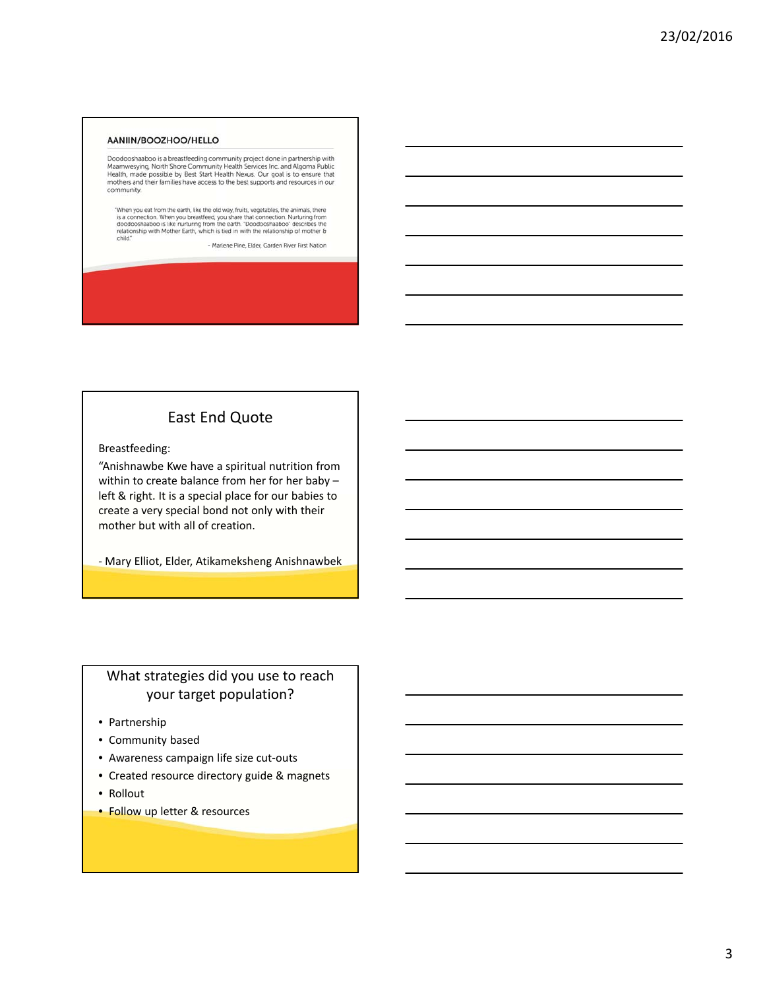#### AANIIN/BOOZHOO/HELLO

Doodooshaaboo is a breastfeeding community project done in partnership with<br>Maamwesying, North Shore Community Health Services Inc. and Algoma Public<br>Health, made possible by Best Start Health Nexus. Our goal is to ensure community.

"When you eat from the earth, like the old way, fruits, vegetables, the animals, there is a connection. When you breastfeed, you share that connection. Nurturing from the earth. "Doodooshaaboo" describes the realitionship

- Marlene Pine, Elder, Garden River First Nation

#### East End Quote

Breastfeeding:

"Anishnawbe Kwe have a spiritual nutrition from within to create balance from her for her baby – left & right. It is a special place for our babies to create a very special bond not only with their mother but with all of creation.

‐ Mary Elliot, Elder, Atikameksheng Anishnawbek

## What strategies did you use to reach your target population?

- Partnership
- Community based
- Awareness campaign life size cut‐outs
- Created resource directory guide & magnets
- Rollout
- Follow up letter & resources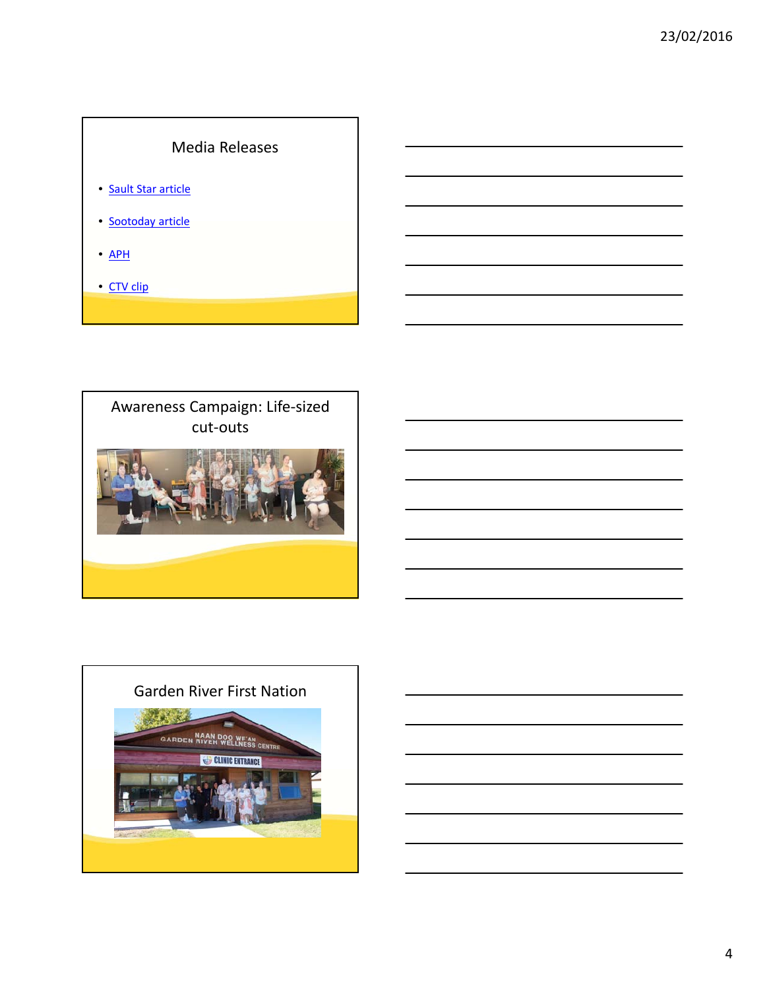# Media Releases

- Sault Star article
- Sootoday article
- APH
- CTV clip



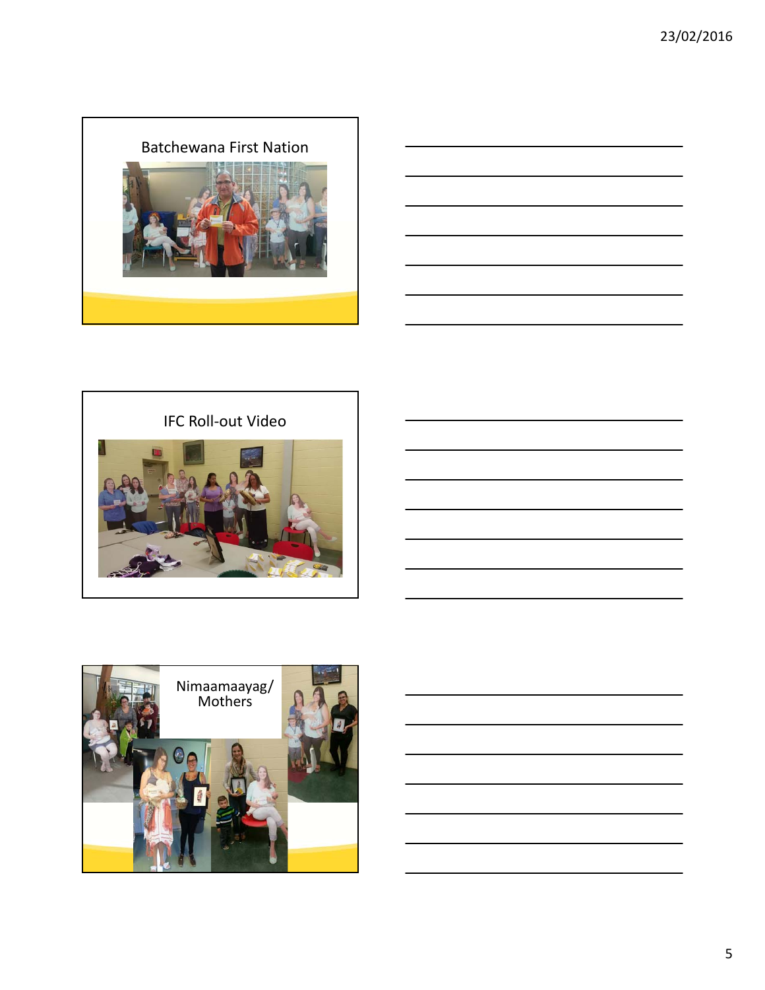



IFC Roll‐out Video



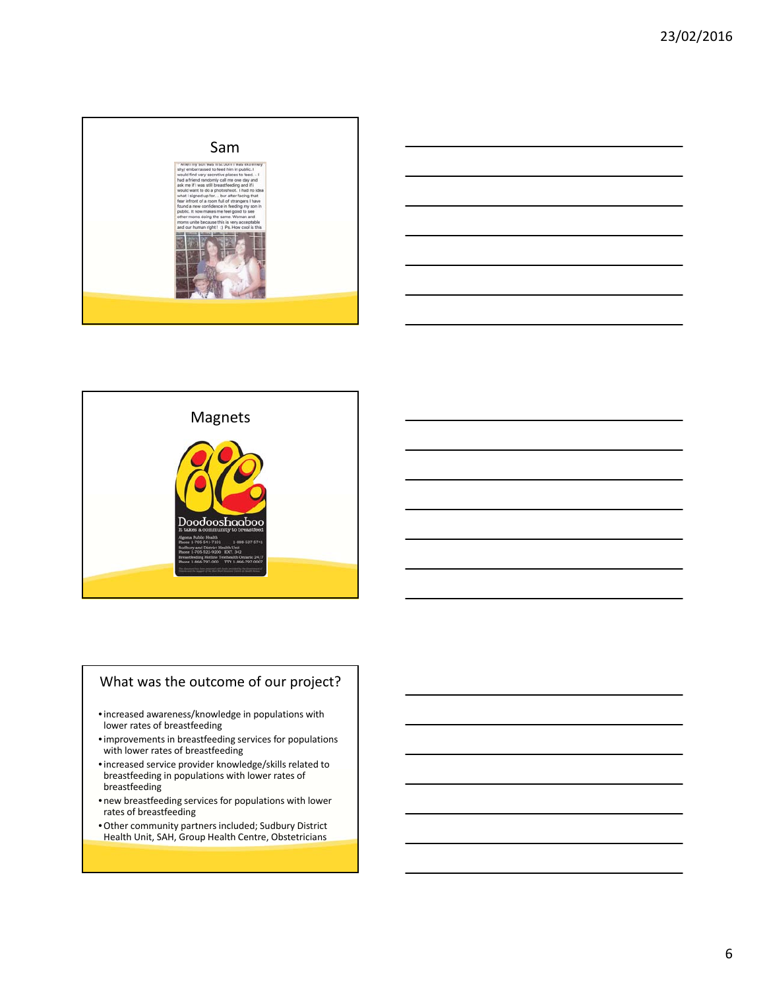

|                                                             |  | <u> 1989 - Andrea Santa Andrea Andrea Andrea Andrea Andrea Andrea Andrea Andrea Andrea Andrea Andrea Andrea Andr</u>   |
|-------------------------------------------------------------|--|------------------------------------------------------------------------------------------------------------------------|
| <u> 1989 - Johann Stein, Amerikaansk politiker (* 1958)</u> |  | $\overline{\phantom{a}}$                                                                                               |
|                                                             |  | <u> 1989 - Andrea Andrew Maria (h. 1989).</u>                                                                          |
|                                                             |  | <u> 1989 - Johann Stoff, deutscher Stoffen und der Stoffen und der Stoffen und der Stoffen und der Stoffen und der</u> |



## What was the outcome of our project?

- •increased awareness/knowledge in populations with lower rates of breastfeeding
- •improvements in breastfeeding services for populations with lower rates of breastfeeding
- •increased service provider knowledge/skills related to breastfeeding in populations with lower rates of breastfeeding
- new breastfeeding services for populations with lower rates of breastfeeding
- •Other community partners included; Sudbury District Health Unit, SAH, Group Health Centre, Obstetricians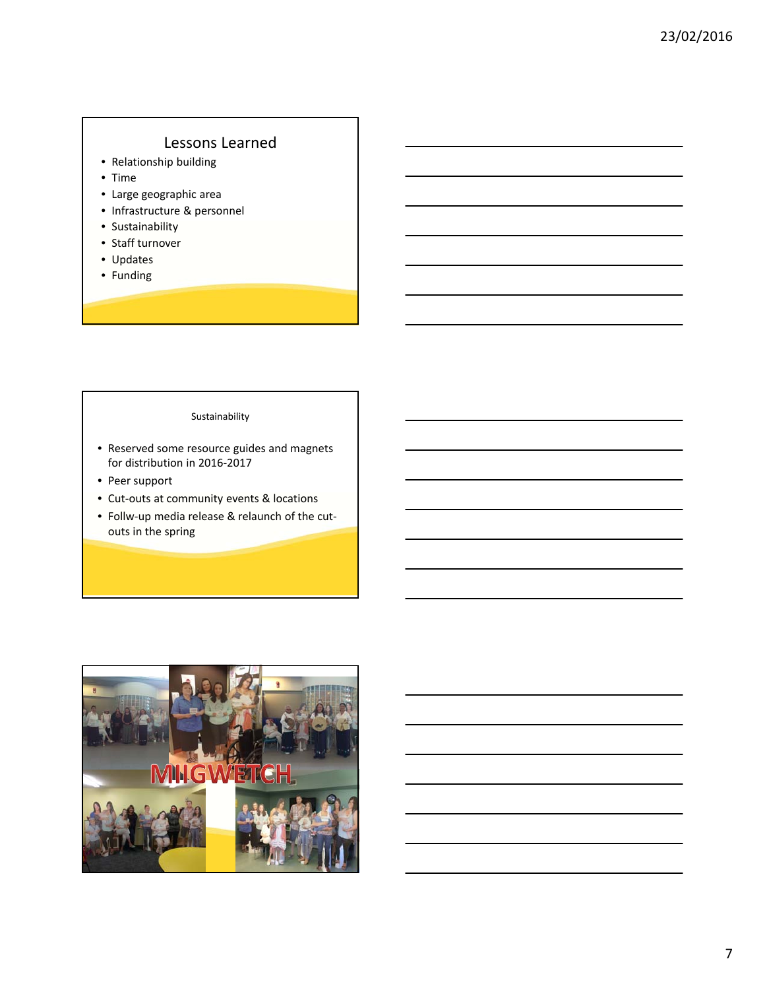#### Lessons Learned

- Relationship building
- Time
- Large geographic area
- Infrastructure & personnel
- Sustainability
- Staff turnover
- Updates
- Funding

#### Sustainability

- Reserved some resource guides and magnets for distribution in 2016‐2017
- Peer support
- Cut-outs at community events & locations
- Follw‐up media release & relaunch of the cut‐ outs in the spring